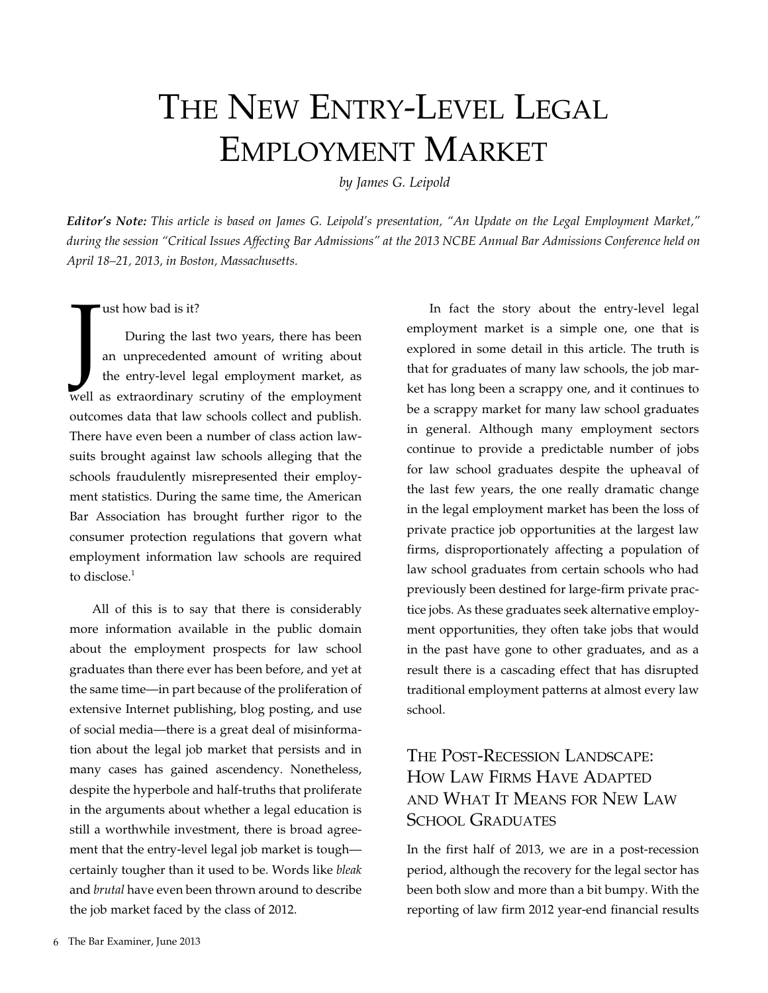# THE NEW ENTRY-LEVEL LEGAL Employment Market

*by James G. Leipold*

*Editor's Note: This article is based on James G. Leipold's presentation, "An Update on the Legal Employment Market," during the session "Critical Issues Affecting Bar Admissions" at the 2013 NCBE Annual Bar Admissions Conference held on April 18–21, 2013, in Boston, Massachusetts.*

#### ust how bad is it?

Judited and the contract of the contract of the contract of the contract of the contract of the contract of the contract of the contract of the contract of the contract of the contract of the contract of the contract of th During the last two years, there has been an unprecedented amount of writing about the entry-level legal employment market, as well as extraordinary scrutiny of the employment outcomes data that law schools collect and publish. There have even been a number of class action lawsuits brought against law schools alleging that the schools fraudulently misrepresented their employment statistics. During the same time, the American Bar Association has brought further rigor to the consumer protection regulations that govern what employment information law schools are required to disclose. $1$ 

All of this is to say that there is considerably more information available in the public domain about the employment prospects for law school graduates than there ever has been before, and yet at the same time—in part because of the proliferation of extensive Internet publishing, blog posting, and use of social media—there is a great deal of misinformation about the legal job market that persists and in many cases has gained ascendency. Nonetheless, despite the hyperbole and half-truths that proliferate in the arguments about whether a legal education is still a worthwhile investment, there is broad agreement that the entry-level legal job market is tough certainly tougher than it used to be. Words like *bleak* and *brutal* have even been thrown around to describe the job market faced by the class of 2012.

In fact the story about the entry-level legal employment market is a simple one, one that is explored in some detail in this article. The truth is that for graduates of many law schools, the job market has long been a scrappy one, and it continues to be a scrappy market for many law school graduates in general. Although many employment sectors continue to provide a predictable number of jobs for law school graduates despite the upheaval of the last few years, the one really dramatic change in the legal employment market has been the loss of private practice job opportunities at the largest law firms, disproportionately affecting a population of law school graduates from certain schools who had previously been destined for large-firm private practice jobs. As these graduates seek alternative employment opportunities, they often take jobs that would in the past have gone to other graduates, and as a result there is a cascading effect that has disrupted traditional employment patterns at almost every law school.

# The Post-Recession Landscape: How Law Firms Have Adapted and What It Means for New Law SCHOOL GRADUATES

In the first half of 2013, we are in a post-recession period, although the recovery for the legal sector has been both slow and more than a bit bumpy. With the reporting of law firm 2012 year-end financial results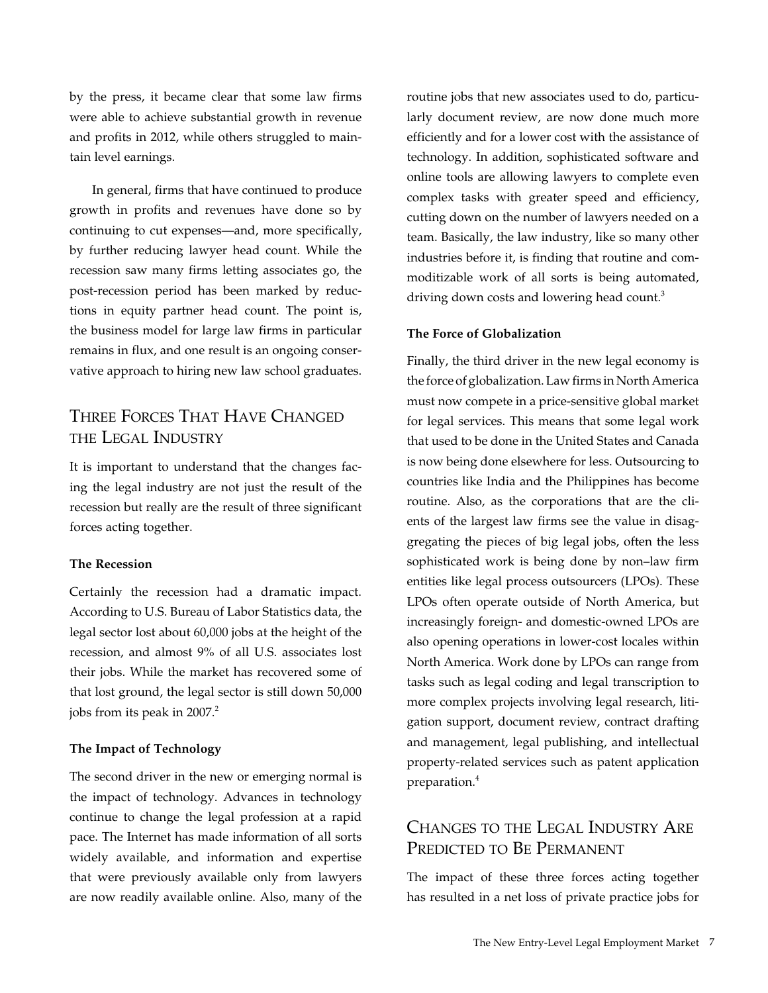by the press, it became clear that some law firms were able to achieve substantial growth in revenue and profits in 2012, while others struggled to maintain level earnings.

In general, firms that have continued to produce growth in profits and revenues have done so by continuing to cut expenses—and, more specifically, by further reducing lawyer head count. While the recession saw many firms letting associates go, the post-recession period has been marked by reductions in equity partner head count. The point is, the business model for large law firms in particular remains in flux, and one result is an ongoing conservative approach to hiring new law school graduates.

# Three Forces That Have Changed the Legal Industry

It is important to understand that the changes facing the legal industry are not just the result of the recession but really are the result of three significant forces acting together.

#### **The Recession**

Certainly the recession had a dramatic impact. According to U.S. Bureau of Labor Statistics data, the legal sector lost about 60,000 jobs at the height of the recession, and almost 9% of all U.S. associates lost their jobs. While the market has recovered some of that lost ground, the legal sector is still down 50,000 jobs from its peak in 2007.<sup>2</sup>

#### **The Impact of Technology**

The second driver in the new or emerging normal is the impact of technology. Advances in technology continue to change the legal profession at a rapid pace. The Internet has made information of all sorts widely available, and information and expertise that were previously available only from lawyers are now readily available online. Also, many of the

routine jobs that new associates used to do, particularly document review, are now done much more efficiently and for a lower cost with the assistance of technology. In addition, sophisticated software and online tools are allowing lawyers to complete even complex tasks with greater speed and efficiency, cutting down on the number of lawyers needed on a team. Basically, the law industry, like so many other industries before it, is finding that routine and commoditizable work of all sorts is being automated, driving down costs and lowering head count.<sup>3</sup>

#### **The Force of Globalization**

Finally, the third driver in the new legal economy is the force of globalization. Law firms in North America must now compete in a price-sensitive global market for legal services. This means that some legal work that used to be done in the United States and Canada is now being done elsewhere for less. Outsourcing to countries like India and the Philippines has become routine. Also, as the corporations that are the clients of the largest law firms see the value in disaggregating the pieces of big legal jobs, often the less sophisticated work is being done by non–law firm entities like legal process outsourcers (LPOs). These LPOs often operate outside of North America, but increasingly foreign- and domestic-owned LPOs are also opening operations in lower-cost locales within North America. Work done by LPOs can range from tasks such as legal coding and legal transcription to more complex projects involving legal research, litigation support, document review, contract drafting and management, legal publishing, and intellectual property-related services such as patent application preparation.4

# Changes to the Legal Industry Are PREDICTED TO BE PERMANENT

The impact of these three forces acting together has resulted in a net loss of private practice jobs for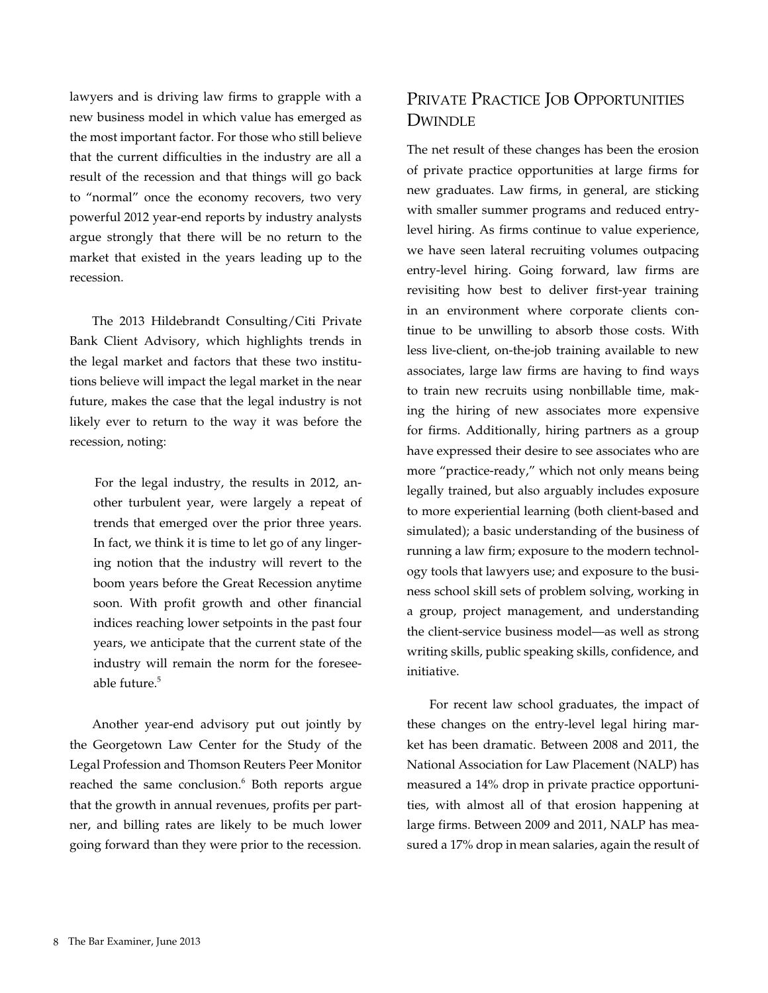lawyers and is driving law firms to grapple with a new business model in which value has emerged as the most important factor. For those who still believe that the current difficulties in the industry are all a result of the recession and that things will go back to "normal" once the economy recovers, two very powerful 2012 year-end reports by industry analysts argue strongly that there will be no return to the market that existed in the years leading up to the recession.

The 2013 Hildebrandt Consulting/Citi Private Bank Client Advisory, which highlights trends in the legal market and factors that these two institutions believe will impact the legal market in the near future, makes the case that the legal industry is not likely ever to return to the way it was before the recession, noting:

For the legal industry, the results in 2012, another turbulent year, were largely a repeat of trends that emerged over the prior three years. In fact, we think it is time to let go of any lingering notion that the industry will revert to the boom years before the Great Recession anytime soon. With profit growth and other financial indices reaching lower setpoints in the past four years, we anticipate that the current state of the industry will remain the norm for the foreseeable future.5

Another year-end advisory put out jointly by the Georgetown Law Center for the Study of the Legal Profession and Thomson Reuters Peer Monitor reached the same conclusion.<sup>6</sup> Both reports argue that the growth in annual revenues, profits per partner, and billing rates are likely to be much lower going forward than they were prior to the recession.

# Private Practice Job Opportunities **DWINDLE**

The net result of these changes has been the erosion of private practice opportunities at large firms for new graduates. Law firms, in general, are sticking with smaller summer programs and reduced entrylevel hiring. As firms continue to value experience, we have seen lateral recruiting volumes outpacing entry-level hiring. Going forward, law firms are revisiting how best to deliver first-year training in an environment where corporate clients continue to be unwilling to absorb those costs. With less live-client, on-the-job training available to new associates, large law firms are having to find ways to train new recruits using nonbillable time, making the hiring of new associates more expensive for firms. Additionally, hiring partners as a group have expressed their desire to see associates who are more "practice-ready," which not only means being legally trained, but also arguably includes exposure to more experiential learning (both client-based and simulated); a basic understanding of the business of running a law firm; exposure to the modern technology tools that lawyers use; and exposure to the business school skill sets of problem solving, working in a group, project management, and understanding the client-service business model—as well as strong writing skills, public speaking skills, confidence, and initiative.

For recent law school graduates, the impact of these changes on the entry-level legal hiring market has been dramatic. Between 2008 and 2011, the National Association for Law Placement (NALP) has measured a 14% drop in private practice opportunities, with almost all of that erosion happening at large firms. Between 2009 and 2011, NALP has measured a 17% drop in mean salaries, again the result of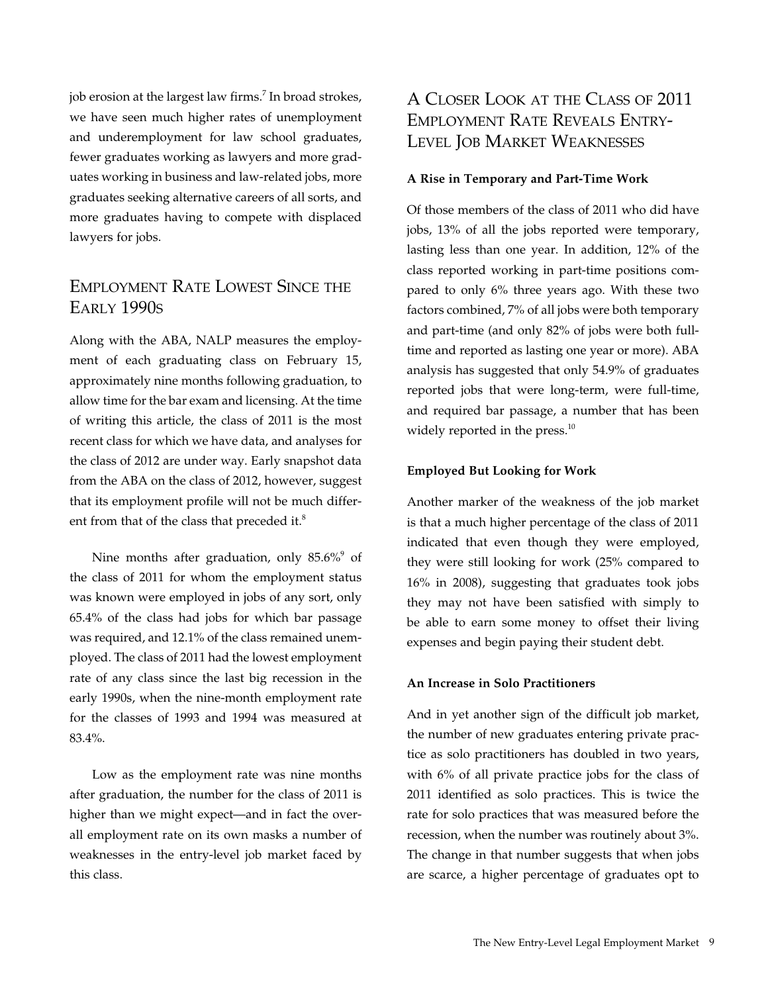job erosion at the largest law firms.<sup>7</sup> In broad strokes, we have seen much higher rates of unemployment and underemployment for law school graduates, fewer graduates working as lawyers and more graduates working in business and law-related jobs, more graduates seeking alternative careers of all sorts, and more graduates having to compete with displaced lawyers for jobs.

# Employment Rate Lowest Since the Early 1990s

Along with the ABA, NALP measures the employment of each graduating class on February 15, approximately nine months following graduation, to allow time for the bar exam and licensing. At the time of writing this article, the class of 2011 is the most recent class for which we have data, and analyses for the class of 2012 are under way. Early snapshot data from the ABA on the class of 2012, however, suggest that its employment profile will not be much different from that of the class that preceded it.<sup>8</sup>

Nine months after graduation, only  $85.6\%$ <sup>9</sup> of the class of 2011 for whom the employment status was known were employed in jobs of any sort, only 65.4% of the class had jobs for which bar passage was required, and 12.1% of the class remained unemployed. The class of 2011 had the lowest employment rate of any class since the last big recession in the early 1990s, when the nine-month employment rate for the classes of 1993 and 1994 was measured at 83.4%.

Low as the employment rate was nine months after graduation, the number for the class of 2011 is higher than we might expect—and in fact the overall employment rate on its own masks a number of weaknesses in the entry-level job market faced by this class.

# A Closer Look at the Class of 2011 Employment Rate Reveals Entry-Level Job Market Weaknesses

#### **A Rise in Temporary and Part-Time Work**

Of those members of the class of 2011 who did have jobs, 13% of all the jobs reported were temporary, lasting less than one year. In addition, 12% of the class reported working in part-time positions compared to only 6% three years ago. With these two factors combined, 7% of all jobs were both temporary and part-time (and only 82% of jobs were both fulltime and reported as lasting one year or more). ABA analysis has suggested that only 54.9% of graduates reported jobs that were long-term, were full-time, and required bar passage, a number that has been widely reported in the press.<sup>10</sup>

#### **Employed But Looking for Work**

Another marker of the weakness of the job market is that a much higher percentage of the class of 2011 indicated that even though they were employed, they were still looking for work (25% compared to 16% in 2008), suggesting that graduates took jobs they may not have been satisfied with simply to be able to earn some money to offset their living expenses and begin paying their student debt.

#### **An Increase in Solo Practitioners**

And in yet another sign of the difficult job market, the number of new graduates entering private practice as solo practitioners has doubled in two years, with 6% of all private practice jobs for the class of 2011 identified as solo practices. This is twice the rate for solo practices that was measured before the recession, when the number was routinely about 3%. The change in that number suggests that when jobs are scarce, a higher percentage of graduates opt to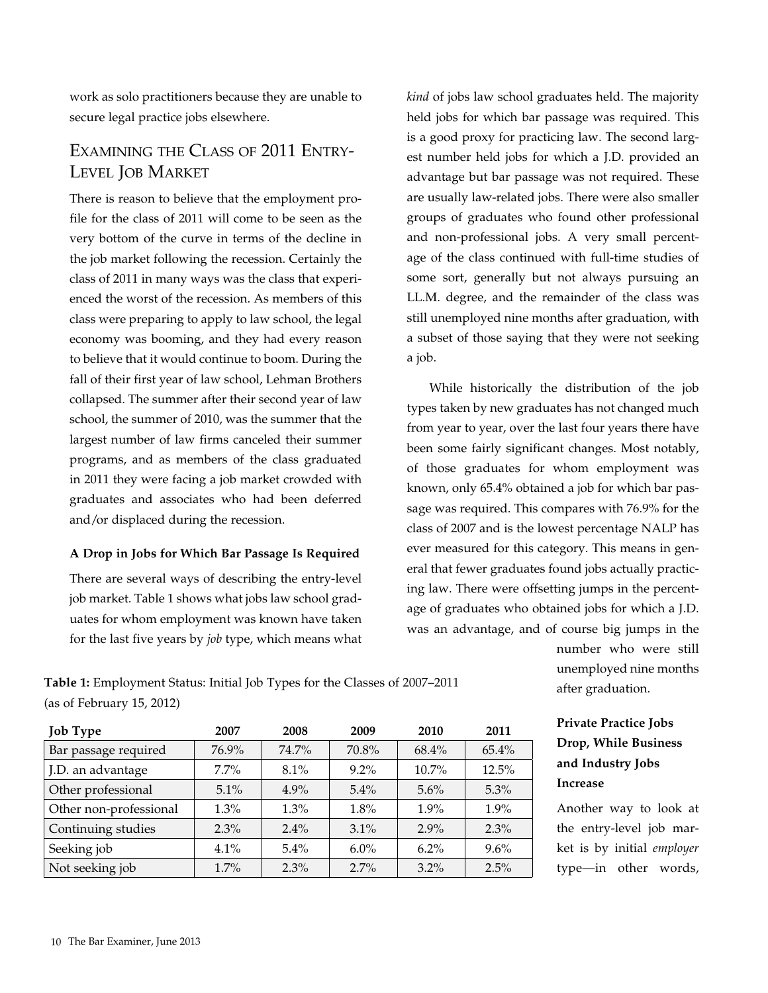work as solo practitioners because they are unable to secure legal practice jobs elsewhere.

# Examining the Class of 2011 Entry-Level Job Market

There is reason to believe that the employment profile for the class of 2011 will come to be seen as the very bottom of the curve in terms of the decline in the job market following the recession. Certainly the class of 2011 in many ways was the class that experienced the worst of the recession. As members of this class were preparing to apply to law school, the legal economy was booming, and they had every reason to believe that it would continue to boom. During the fall of their first year of law school, Lehman Brothers collapsed. The summer after their second year of law school, the summer of 2010, was the summer that the largest number of law firms canceled their summer programs, and as members of the class graduated in 2011 they were facing a job market crowded with graduates and associates who had been deferred and/or displaced during the recession.

#### **A Drop in Jobs for Which Bar Passage Is Required**

There are several ways of describing the entry-level job market. Table 1 shows what jobs law school graduates for whom employment was known have taken for the last five years by *job* type, which means what *kind* of jobs law school graduates held. The majority held jobs for which bar passage was required. This is a good proxy for practicing law. The second largest number held jobs for which a J.D. provided an advantage but bar passage was not required. These are usually law-related jobs. There were also smaller groups of graduates who found other professional and non-professional jobs. A very small percentage of the class continued with full-time studies of some sort, generally but not always pursuing an LL.M. degree, and the remainder of the class was still unemployed nine months after graduation, with a subset of those saying that they were not seeking a job.

While historically the distribution of the job types taken by new graduates has not changed much from year to year, over the last four years there have been some fairly significant changes. Most notably, of those graduates for whom employment was known, only 65.4% obtained a job for which bar passage was required. This compares with 76.9% for the class of 2007 and is the lowest percentage NALP has ever measured for this category. This means in general that fewer graduates found jobs actually practicing law. There were offsetting jumps in the percentage of graduates who obtained jobs for which a J.D. was an advantage, and of course big jumps in the

**Table 1:** Employment Status: Initial Job Types for the Classes of 2007–2011 (as of February 15, 2012)

| <b>Job Type</b>        | 2007    | 2008    | 2009    | 2010     | 2011     |
|------------------------|---------|---------|---------|----------|----------|
| Bar passage required   | 76.9%   | 74.7%   | 70.8%   | $68.4\%$ | $65.4\%$ |
| J.D. an advantage      | $7.7\%$ | $8.1\%$ | $9.2\%$ | $10.7\%$ | 12.5%    |
| Other professional     | $5.1\%$ | $4.9\%$ | $5.4\%$ | 5.6%     | $5.3\%$  |
| Other non-professional | $1.3\%$ | $1.3\%$ | 1.8%    | $1.9\%$  | $1.9\%$  |
| Continuing studies     | $2.3\%$ | $2.4\%$ | $3.1\%$ | $2.9\%$  | 2.3%     |
| Seeking job            | 4.1%    | $5.4\%$ | $6.0\%$ | $6.2\%$  | $9.6\%$  |
| Not seeking job        | $1.7\%$ | $2.3\%$ | $2.7\%$ | $3.2\%$  | 2.5%     |

number who were still unemployed nine months after graduation.

# **Private Practice Jobs Drop, While Business and Industry Jobs Increase**

Another way to look at the entry-level job market is by initial *employer*  type—in other words,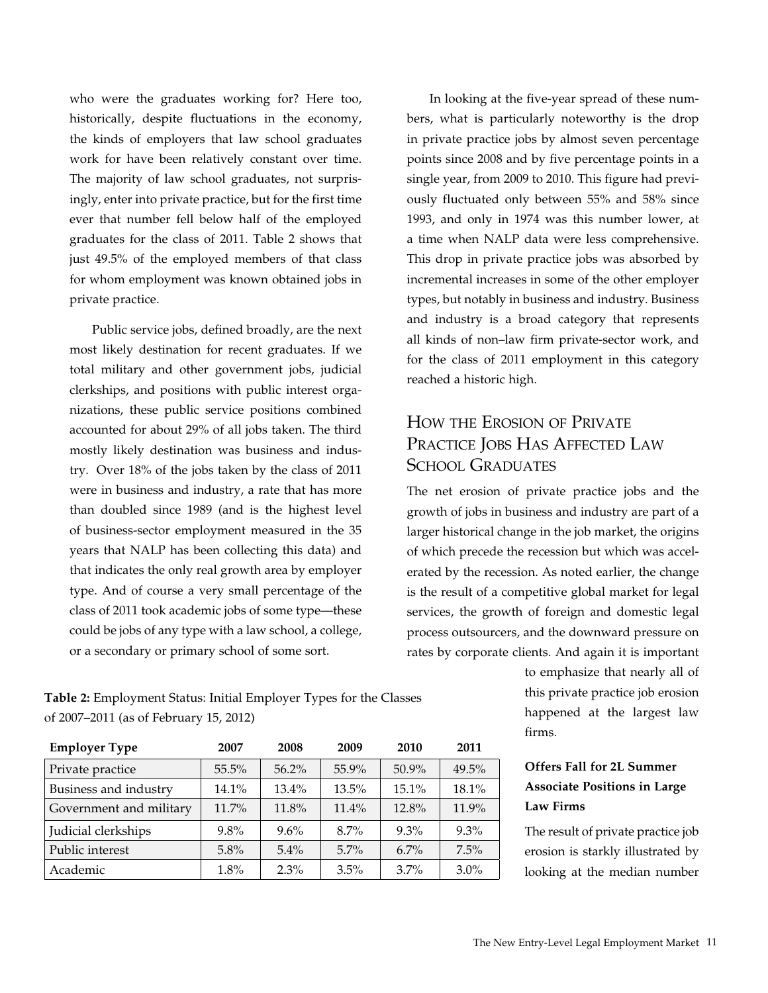who were the graduates working for? Here too, historically, despite fluctuations in the economy, the kinds of employers that law school graduates work for have been relatively constant over time. The majority of law school graduates, not surprisingly, enter into private practice, but for the first time ever that number fell below half of the employed graduates for the class of 2011. Table 2 shows that just 49.5% of the employed members of that class for whom employment was known obtained jobs in private practice.

Public service jobs, defined broadly, are the next most likely destination for recent graduates. If we total military and other government jobs, judicial clerkships, and positions with public interest organizations, these public service positions combined accounted for about 29% of all jobs taken. The third mostly likely destination was business and industry. Over 18% of the jobs taken by the class of 2011 were in business and industry, a rate that has more than doubled since 1989 (and is the highest level of business-sector employment measured in the 35 years that NALP has been collecting this data) and that indicates the only real growth area by employer type. And of course a very small percentage of the class of 2011 took academic jobs of some type—these could be jobs of any type with a law school, a college, or a secondary or primary school of some sort.

**Table 2:** Employment Status: Initial Employer Types for the Classes of 2007–2011 (as of February 15, 2012)

| <b>Employer Type</b>    | 2007     | 2008     | 2009     | 2010    | 2011  |
|-------------------------|----------|----------|----------|---------|-------|
| Private practice        | 55.5%    | $56.2\%$ | 55.9%    | 50.9%   | 49.5% |
| Business and industry   | 14.1%    | $13.4\%$ | $13.5\%$ | 15.1%   | 18.1% |
| Government and military | $11.7\%$ | 11.8%    | 11.4%    | 12.8%   | 11.9% |
| Judicial clerkships     | 9.8%     | 9.6%     | $8.7\%$  | 9.3%    | 9.3%  |
| Public interest         | 5.8%     | $5.4\%$  | $5.7\%$  | $6.7\%$ | 7.5%  |
| Academic                | 1.8%     | $2.3\%$  | 3.5%     | 3.7%    | 3.0%  |

In looking at the five-year spread of these numbers, what is particularly noteworthy is the drop in private practice jobs by almost seven percentage points since 2008 and by five percentage points in a single year, from 2009 to 2010. This figure had previously fluctuated only between 55% and 58% since 1993, and only in 1974 was this number lower, at a time when NALP data were less comprehensive. This drop in private practice jobs was absorbed by incremental increases in some of the other employer types, but notably in business and industry. Business and industry is a broad category that represents all kinds of non–law firm private-sector work, and for the class of 2011 employment in this category reached a historic high.

# How the Erosion of Private PRACTICE JOBS HAS AFFECTED LAW SCHOOL GRADUATES

The net erosion of private practice jobs and the growth of jobs in business and industry are part of a larger historical change in the job market, the origins of which precede the recession but which was accelerated by the recession. As noted earlier, the change is the result of a competitive global market for legal services, the growth of foreign and domestic legal process outsourcers, and the downward pressure on rates by corporate clients. And again it is important

> to emphasize that nearly all of this private practice job erosion happened at the largest law firms.

# **Offers Fall for 2L Summer Associate Positions in Large Law Firms**

The result of private practice job erosion is starkly illustrated by looking at the median number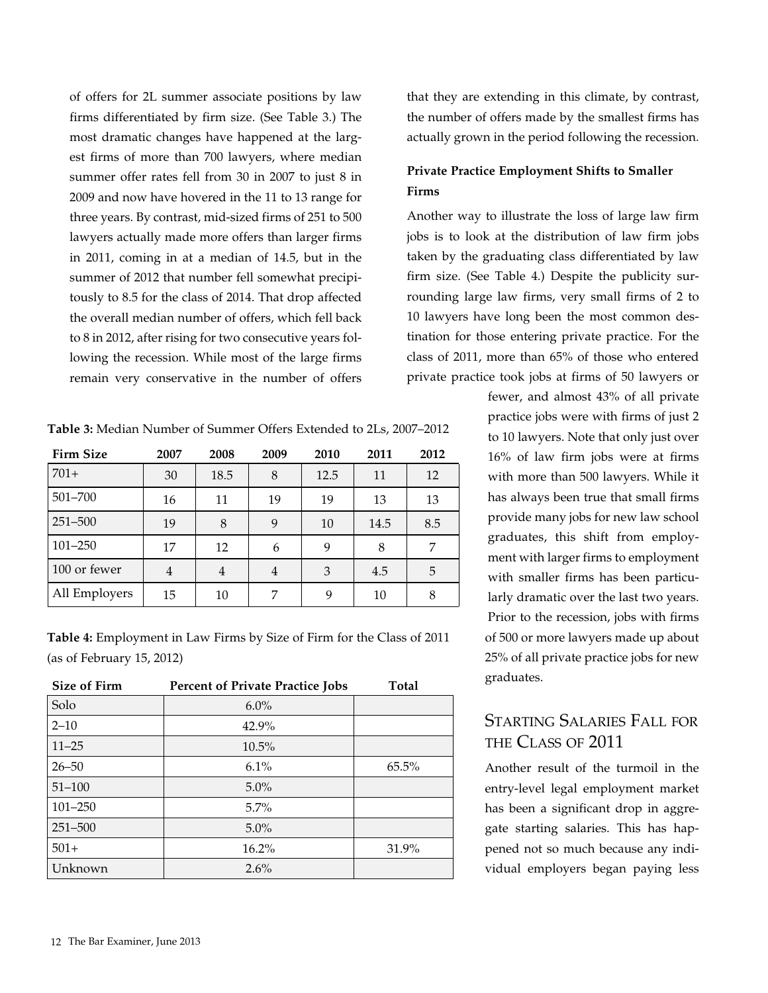of offers for 2L summer associate positions by law firms differentiated by firm size. (See Table 3.) The most dramatic changes have happened at the largest firms of more than 700 lawyers, where median summer offer rates fell from 30 in 2007 to just 8 in 2009 and now have hovered in the 11 to 13 range for three years. By contrast, mid-sized firms of 251 to 500 lawyers actually made more offers than larger firms in 2011, coming in at a median of 14.5, but in the summer of 2012 that number fell somewhat precipitously to 8.5 for the class of 2014. That drop affected the overall median number of offers, which fell back to 8 in 2012, after rising for two consecutive years following the recession. While most of the large firms remain very conservative in the number of offers

| <b>Firm Size</b> | 2007           | 2008           | 2009 | 2010 | 2011 | 2012 |
|------------------|----------------|----------------|------|------|------|------|
| $701+$           | 30             | 18.5           | 8    | 12.5 | 11   | 12   |
| 501-700          | 16             | 11             | 19   | 19   | 13   | 13   |
| 251-500          | 19             | 8              | 9    | 10   | 14.5 | 8.5  |
| $101 - 250$      | 17             | 12             | 6    | 9    | 8    | 7    |
| 100 or fewer     | $\overline{4}$ | $\overline{4}$ | 4    | 3    | 4.5  | 5    |
| All Employers    | 15             | 10             | 7    | 9    | 10   | 8    |

**Table 4:** Employment in Law Firms by Size of Firm for the Class of 2011 (as of February 15, 2012)

| <b>Size of Firm</b> | <b>Percent of Private Practice Jobs</b> | <b>Total</b> |
|---------------------|-----------------------------------------|--------------|
| Solo                | $6.0\%$                                 |              |
| $2 - 10$            | 42.9%                                   |              |
| $11 - 25$           | $10.5\%$                                |              |
| $26 - 50$           | 6.1%                                    | 65.5%        |
| $51 - 100$          | 5.0%                                    |              |
| $101 - 250$         | $5.7\%$                                 |              |
| 251-500             | 5.0%                                    |              |
| $501+$              | $16.2\%$                                | 31.9%        |
| Unknown             | 2.6%                                    |              |

that they are extending in this climate, by contrast, the number of offers made by the smallest firms has actually grown in the period following the recession.

## **Private Practice Employment Shifts to Smaller Firms**

Another way to illustrate the loss of large law firm jobs is to look at the distribution of law firm jobs taken by the graduating class differentiated by law firm size. (See Table 4.) Despite the publicity surrounding large law firms, very small firms of 2 to 10 lawyers have long been the most common destination for those entering private practice. For the class of 2011, more than 65% of those who entered private practice took jobs at firms of 50 lawyers or

> fewer, and almost 43% of all private practice jobs were with firms of just 2 to 10 lawyers. Note that only just over 16% of law firm jobs were at firms with more than 500 lawyers. While it has always been true that small firms provide many jobs for new law school graduates, this shift from employment with larger firms to employment with smaller firms has been particularly dramatic over the last two years. Prior to the recession, jobs with firms of 500 or more lawyers made up about 25% of all private practice jobs for new graduates.

# Starting Salaries Fall for the Class of 2011

Another result of the turmoil in the entry-level legal employment market has been a significant drop in aggregate starting salaries. This has happened not so much because any individual employers began paying less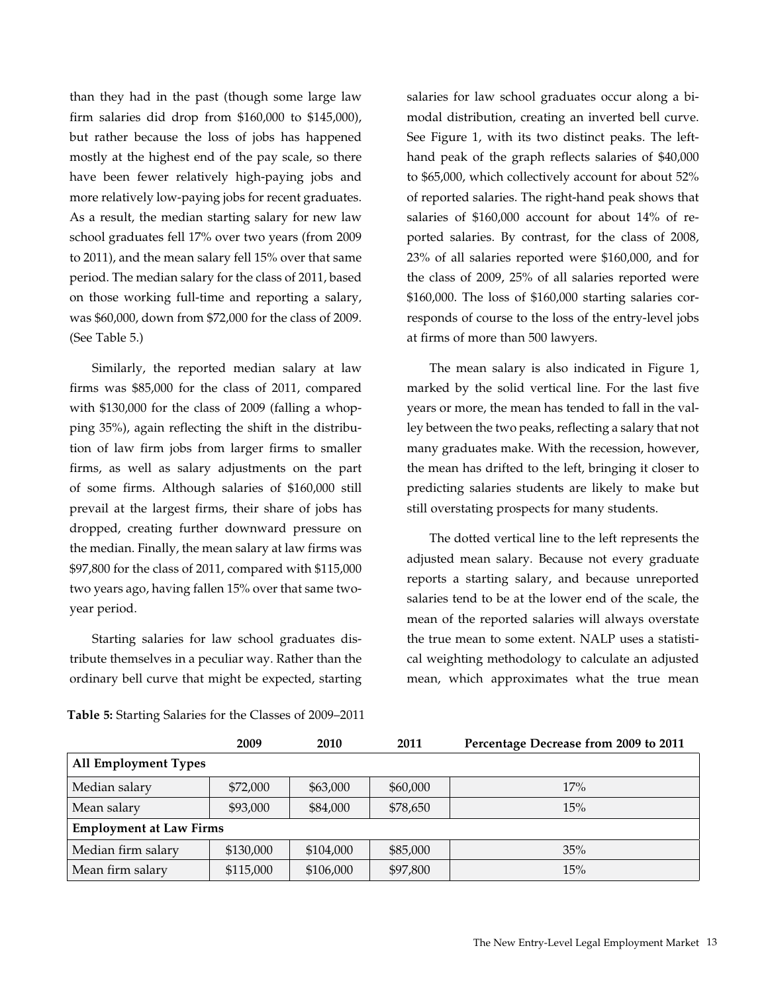than they had in the past (though some large law firm salaries did drop from \$160,000 to \$145,000), but rather because the loss of jobs has happened mostly at the highest end of the pay scale, so there have been fewer relatively high-paying jobs and more relatively low-paying jobs for recent graduates. As a result, the median starting salary for new law school graduates fell 17% over two years (from 2009 to 2011), and the mean salary fell 15% over that same period. The median salary for the class of 2011, based on those working full-time and reporting a salary, was \$60,000, down from \$72,000 for the class of 2009. (See Table 5.)

Similarly, the reported median salary at law firms was \$85,000 for the class of 2011, compared with \$130,000 for the class of 2009 (falling a whopping 35%), again reflecting the shift in the distribution of law firm jobs from larger firms to smaller firms, as well as salary adjustments on the part of some firms. Although salaries of \$160,000 still prevail at the largest firms, their share of jobs has dropped, creating further downward pressure on the median. Finally, the mean salary at law firms was \$97,800 for the class of 2011, compared with \$115,000 two years ago, having fallen 15% over that same twoyear period.

Starting salaries for law school graduates distribute themselves in a peculiar way. Rather than the ordinary bell curve that might be expected, starting salaries for law school graduates occur along a bimodal distribution, creating an inverted bell curve. See Figure 1, with its two distinct peaks. The lefthand peak of the graph reflects salaries of \$40,000 to \$65,000, which collectively account for about 52% of reported salaries. The right-hand peak shows that salaries of \$160,000 account for about 14% of reported salaries. By contrast, for the class of 2008, 23% of all salaries reported were \$160,000, and for the class of 2009, 25% of all salaries reported were \$160,000. The loss of \$160,000 starting salaries corresponds of course to the loss of the entry-level jobs at firms of more than 500 lawyers.

The mean salary is also indicated in Figure 1, marked by the solid vertical line. For the last five years or more, the mean has tended to fall in the valley between the two peaks, reflecting a salary that not many graduates make. With the recession, however, the mean has drifted to the left, bringing it closer to predicting salaries students are likely to make but still overstating prospects for many students.

The dotted vertical line to the left represents the adjusted mean salary. Because not every graduate reports a starting salary, and because unreported salaries tend to be at the lower end of the scale, the mean of the reported salaries will always overstate the true mean to some extent. NALP uses a statistical weighting methodology to calculate an adjusted mean, which approximates what the true mean

|                                | 2009      | 2010      | 2011     | Percentage Decrease from 2009 to 2011 |  |
|--------------------------------|-----------|-----------|----------|---------------------------------------|--|
| <b>All Employment Types</b>    |           |           |          |                                       |  |
| Median salary                  | \$72,000  | \$63,000  | \$60,000 | 17%                                   |  |
| Mean salary                    | \$93,000  | \$84,000  | \$78,650 | 15%                                   |  |
| <b>Employment at Law Firms</b> |           |           |          |                                       |  |
| Median firm salary             | \$130,000 | \$104,000 | \$85,000 | 35%                                   |  |
| Mean firm salary               | \$115,000 | \$106,000 | \$97,800 | 15%                                   |  |

**Table 5:** Starting Salaries for the Classes of 2009–2011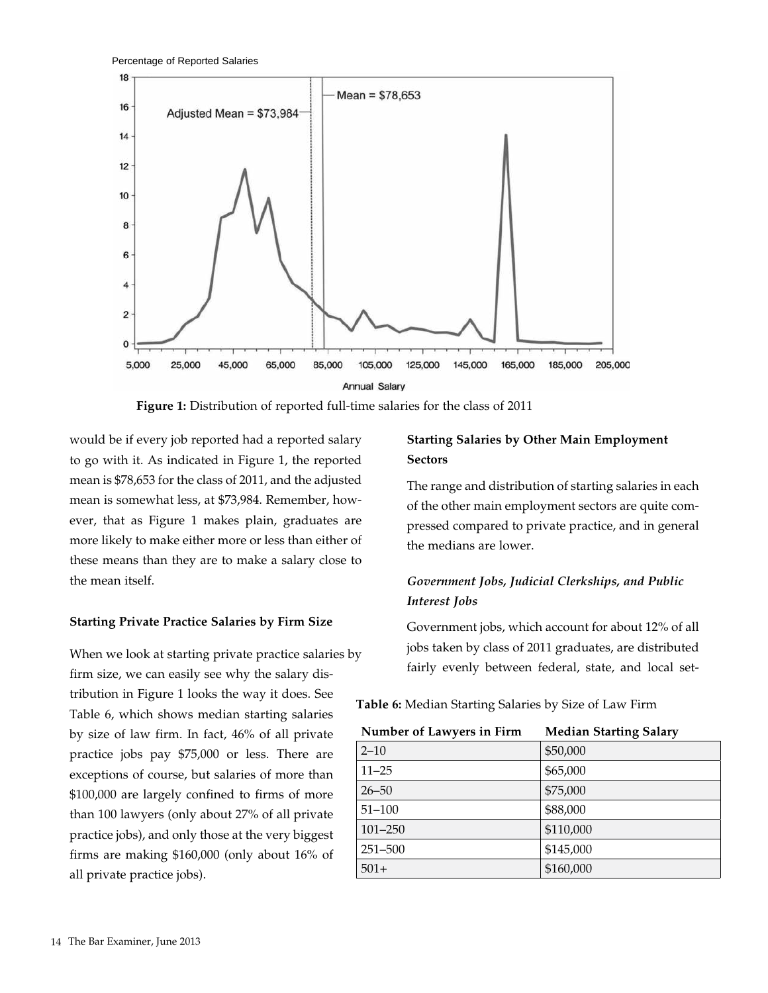

**Figure 1:** Distribution of reported full-time salaries for the class of 2011

would be if every job reported had a reported salary to go with it. As indicated in Figure 1, the reported mean is \$78,653 for the class of 2011, and the adjusted mean is somewhat less, at \$73,984. Remember, however, that as Figure 1 makes plain, graduates are more likely to make either more or less than either of these means than they are to make a salary close to the mean itself.

#### **Starting Private Practice Salaries by Firm Size**

When we look at starting private practice salaries by firm size, we can easily see why the salary distribution in Figure 1 looks the way it does. See Table 6, which shows median starting salaries by size of law firm. In fact, 46% of all private practice jobs pay \$75,000 or less. There are exceptions of course, but salaries of more than \$100,000 are largely confined to firms of more than 100 lawyers (only about 27% of all private practice jobs), and only those at the very biggest firms are making \$160,000 (only about 16% of all private practice jobs).

### **Starting Salaries by Other Main Employment Sectors**

The range and distribution of starting salaries in each of the other main employment sectors are quite compressed compared to private practice, and in general the medians are lower.

# *Government Jobs, Judicial Clerkships, and Public Interest Jobs*

Government jobs, which account for about 12% of all jobs taken by class of 2011 graduates, are distributed fairly evenly between federal, state, and local set-

| Number of Lawyers in Firm | <b>Median Starting Salary</b> |
|---------------------------|-------------------------------|
| $2 - 10$                  | \$50,000                      |
| $11 - 25$                 | \$65,000                      |
| $26 - 50$                 | \$75,000                      |
| $51 - 100$                | \$88,000                      |
| $101 - 250$               | \$110,000                     |
| $251 - 500$               | \$145,000                     |
| $501+$                    | \$160,000                     |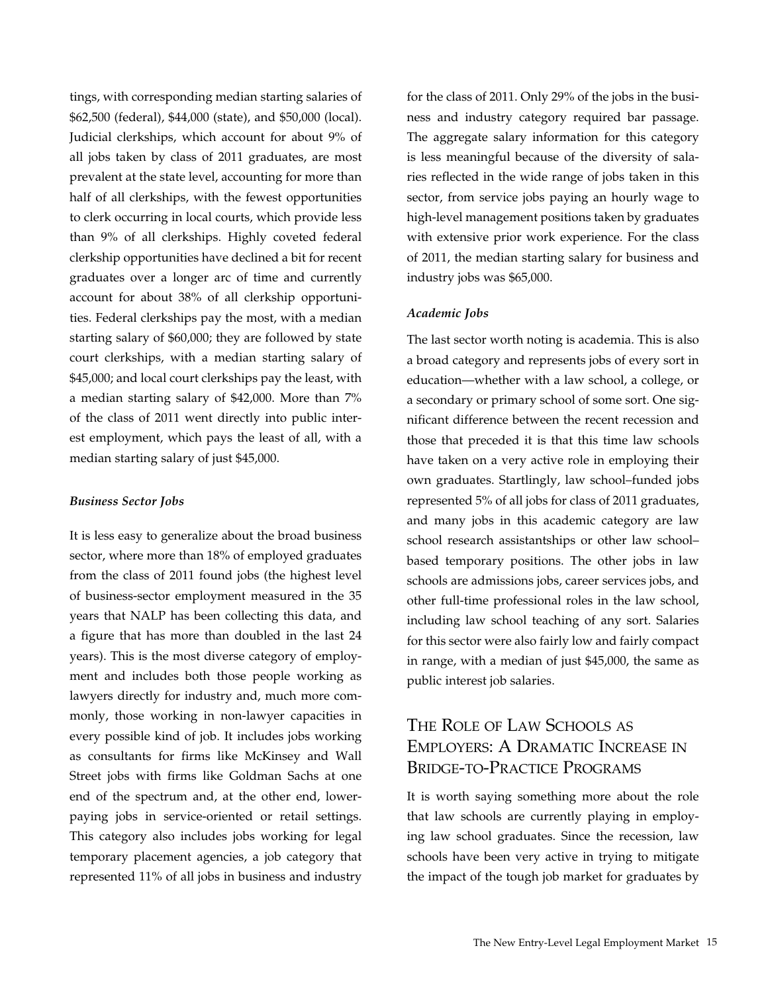tings, with corresponding median starting salaries of \$62,500 (federal), \$44,000 (state), and \$50,000 (local). Judicial clerkships, which account for about 9% of all jobs taken by class of 2011 graduates, are most prevalent at the state level, accounting for more than half of all clerkships, with the fewest opportunities to clerk occurring in local courts, which provide less than 9% of all clerkships. Highly coveted federal clerkship opportunities have declined a bit for recent graduates over a longer arc of time and currently account for about 38% of all clerkship opportunities. Federal clerkships pay the most, with a median starting salary of \$60,000; they are followed by state court clerkships, with a median starting salary of \$45,000; and local court clerkships pay the least, with a median starting salary of \$42,000. More than 7% of the class of 2011 went directly into public interest employment, which pays the least of all, with a median starting salary of just \$45,000.

#### *Business Sector Jobs*

It is less easy to generalize about the broad business sector, where more than 18% of employed graduates from the class of 2011 found jobs (the highest level of business-sector employment measured in the 35 years that NALP has been collecting this data, and a figure that has more than doubled in the last 24 years). This is the most diverse category of employment and includes both those people working as lawyers directly for industry and, much more commonly, those working in non-lawyer capacities in every possible kind of job. It includes jobs working as consultants for firms like McKinsey and Wall Street jobs with firms like Goldman Sachs at one end of the spectrum and, at the other end, lowerpaying jobs in service-oriented or retail settings. This category also includes jobs working for legal temporary placement agencies, a job category that represented 11% of all jobs in business and industry

for the class of 2011. Only 29% of the jobs in the business and industry category required bar passage. The aggregate salary information for this category is less meaningful because of the diversity of salaries reflected in the wide range of jobs taken in this sector, from service jobs paying an hourly wage to high-level management positions taken by graduates with extensive prior work experience. For the class of 2011, the median starting salary for business and industry jobs was \$65,000.

#### *Academic Jobs*

The last sector worth noting is academia. This is also a broad category and represents jobs of every sort in education—whether with a law school, a college, or a secondary or primary school of some sort. One significant difference between the recent recession and those that preceded it is that this time law schools have taken on a very active role in employing their own graduates. Startlingly, law school–funded jobs represented 5% of all jobs for class of 2011 graduates, and many jobs in this academic category are law school research assistantships or other law school– based temporary positions. The other jobs in law schools are admissions jobs, career services jobs, and other full-time professional roles in the law school, including law school teaching of any sort. Salaries for this sector were also fairly low and fairly compact in range, with a median of just \$45,000, the same as public interest job salaries.

# The Role of Law Schools as Employers: A Dramatic Increase in Bridge-to-Practice Programs

It is worth saying something more about the role that law schools are currently playing in employing law school graduates. Since the recession, law schools have been very active in trying to mitigate the impact of the tough job market for graduates by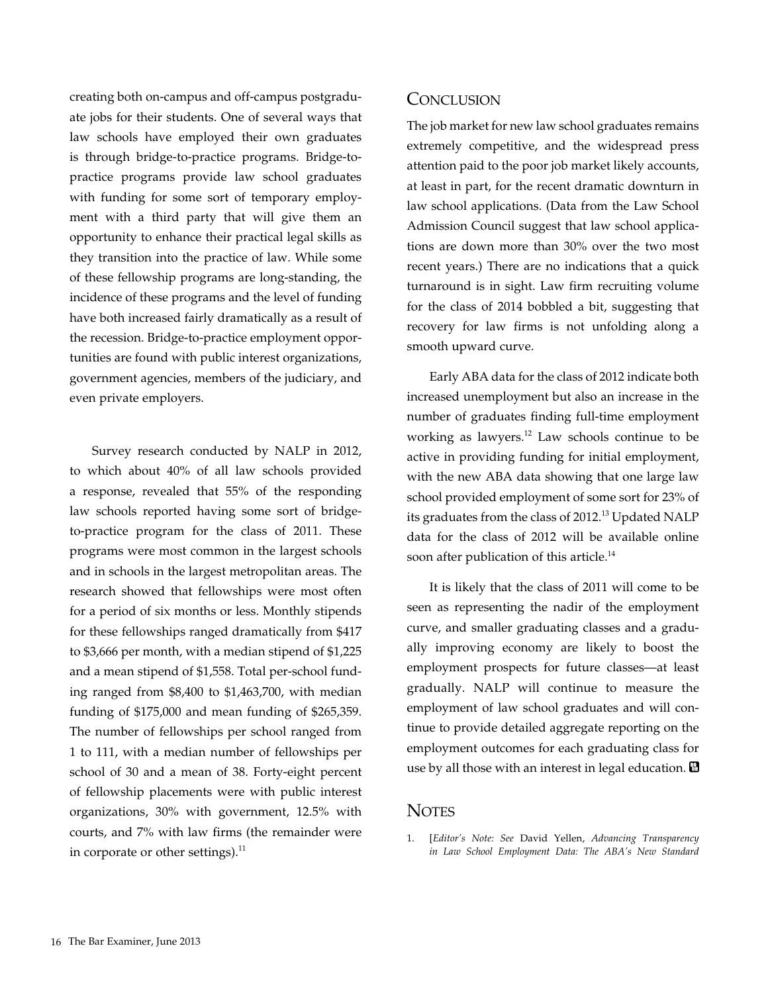creating both on-campus and off-campus postgraduate jobs for their students. One of several ways that law schools have employed their own graduates is through bridge-to-practice programs. Bridge-topractice programs provide law school graduates with funding for some sort of temporary employment with a third party that will give them an opportunity to enhance their practical legal skills as they transition into the practice of law. While some of these fellowship programs are long-standing, the incidence of these programs and the level of funding have both increased fairly dramatically as a result of the recession. Bridge-to-practice employment opportunities are found with public interest organizations, government agencies, members of the judiciary, and even private employers.

Survey research conducted by NALP in 2012, to which about 40% of all law schools provided a response, revealed that 55% of the responding law schools reported having some sort of bridgeto-practice program for the class of 2011. These programs were most common in the largest schools and in schools in the largest metropolitan areas. The research showed that fellowships were most often for a period of six months or less. Monthly stipends for these fellowships ranged dramatically from \$417 to \$3,666 per month, with a median stipend of \$1,225 and a mean stipend of \$1,558. Total per-school funding ranged from \$8,400 to \$1,463,700, with median funding of \$175,000 and mean funding of \$265,359. The number of fellowships per school ranged from 1 to 111, with a median number of fellowships per school of 30 and a mean of 38. Forty-eight percent of fellowship placements were with public interest organizations, 30% with government, 12.5% with courts, and 7% with law firms (the remainder were in corporate or other settings). $^{11}$ 

#### **CONCLUSION**

The job market for new law school graduates remains extremely competitive, and the widespread press attention paid to the poor job market likely accounts, at least in part, for the recent dramatic downturn in law school applications. (Data from the Law School Admission Council suggest that law school applications are down more than 30% over the two most recent years.) There are no indications that a quick turnaround is in sight. Law firm recruiting volume for the class of 2014 bobbled a bit, suggesting that recovery for law firms is not unfolding along a smooth upward curve.

Early ABA data for the class of 2012 indicate both increased unemployment but also an increase in the number of graduates finding full-time employment working as lawyers. $12$  Law schools continue to be active in providing funding for initial employment, with the new ABA data showing that one large law school provided employment of some sort for 23% of its graduates from the class of 2012.<sup>13</sup> Updated NALP data for the class of 2012 will be available online soon after publication of this article.<sup>14</sup>

It is likely that the class of 2011 will come to be seen as representing the nadir of the employment curve, and smaller graduating classes and a gradually improving economy are likely to boost the employment prospects for future classes—at least gradually. NALP will continue to measure the employment of law school graduates and will continue to provide detailed aggregate reporting on the employment outcomes for each graduating class for use by all those with an interest in legal education.  $\blacksquare$ 

#### **NOTES**

1. [*Editor's Note: See* David Yellen, *Advancing Transparency in Law School Employment Data: The ABA's New Standard*